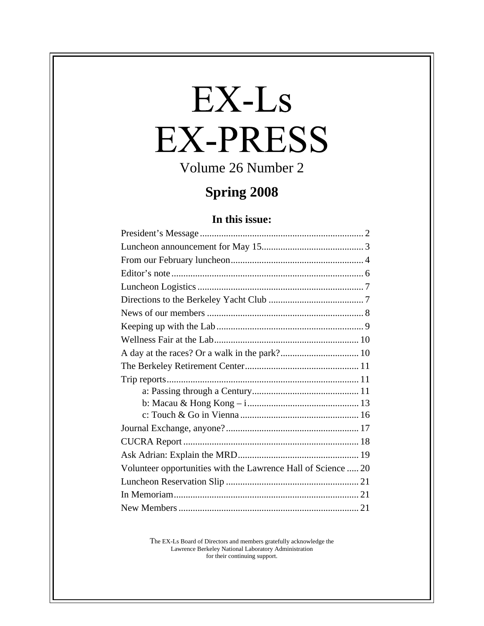# EX-Ls **EX-PRESS**

Volume 26 Number 2

# **Spring 2008**

#### **In this issue:**

| Volunteer opportunities with the Lawrence Hall of Science  20 |  |
|---------------------------------------------------------------|--|
|                                                               |  |
|                                                               |  |
|                                                               |  |

The EX-Ls Board of Directors and members gratefully acknowledge the Lawrence Berkeley National Laboratory Administration for their continuing support.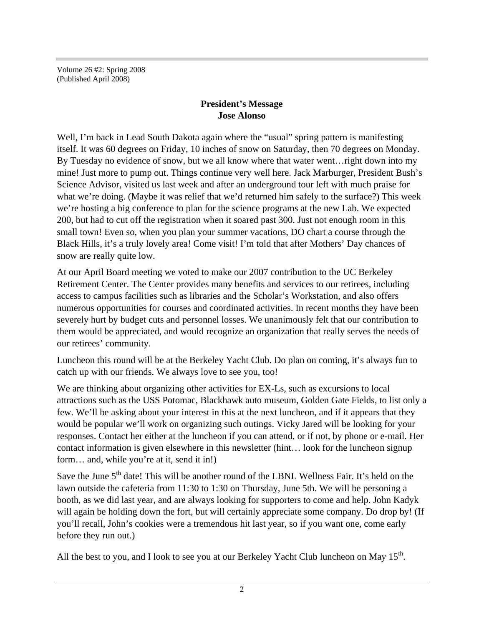Volume 26 #2: Spring 2008 (Published April 2008)

#### **President's Message Jose Alonso**

Well, I'm back in Lead South Dakota again where the "usual" spring pattern is manifesting itself. It was 60 degrees on Friday, 10 inches of snow on Saturday, then 70 degrees on Monday. By Tuesday no evidence of snow, but we all know where that water went... right down into my mine! Just more to pump out. Things continue very well here. Jack Marburger, President Bush's Science Advisor, visited us last week and after an underground tour left with much praise for what we're doing. (Maybe it was relief that we'd returned him safely to the surface?) This week we're hosting a big conference to plan for the science programs at the new Lab. We expected 200, but had to cut off the registration when it soared past 300. Just not enough room in this small town! Even so, when you plan your summer vacations, DO chart a course through the Black Hills, it's a truly lovely area! Come visit! I'm told that after Mothers' Day chances of snow are really quite low.

At our April Board meeting we voted to make our 2007 contribution to the UC Berkeley Retirement Center. The Center provides many benefits and services to our retirees, including access to campus facilities such as libraries and the Scholar's Workstation, and also offers numerous opportunities for courses and coordinated activities. In recent months they have been severely hurt by budget cuts and personnel losses. We unanimously felt that our contribution to them would be appreciated, and would recognize an organization that really serves the needs of our retirees' community.

Luncheon this round will be at the Berkeley Yacht Club. Do plan on coming, it's always fun to catch up with our friends. We always love to see you, too!

We are thinking about organizing other activities for EX-Ls, such as excursions to local attractions such as the USS Potomac, Blackhawk auto museum, Golden Gate Fields, to list only a few. We'll be asking about your interest in this at the next luncheon, and if it appears that they would be popular we'll work on organizing such outings. Vicky Jared will be looking for your responses. Contact her either at the luncheon if you can attend, or if not, by phone or e-mail. Her contact information is given elsewhere in this newsletter (hint… look for the luncheon signup form… and, while you're at it, send it in!)

Save the June 5<sup>th</sup> date! This will be another round of the LBNL Wellness Fair. It's held on the lawn outside the cafeteria from 11:30 to 1:30 on Thursday, June 5th. We will be personing a booth, as we did last year, and are always looking for supporters to come and help. John Kadyk will again be holding down the fort, but will certainly appreciate some company. Do drop by! (If you'll recall, John's cookies were a tremendous hit last year, so if you want one, come early before they run out.)

All the best to you, and I look to see you at our Berkeley Yacht Club luncheon on May  $15^{\text{th}}$ .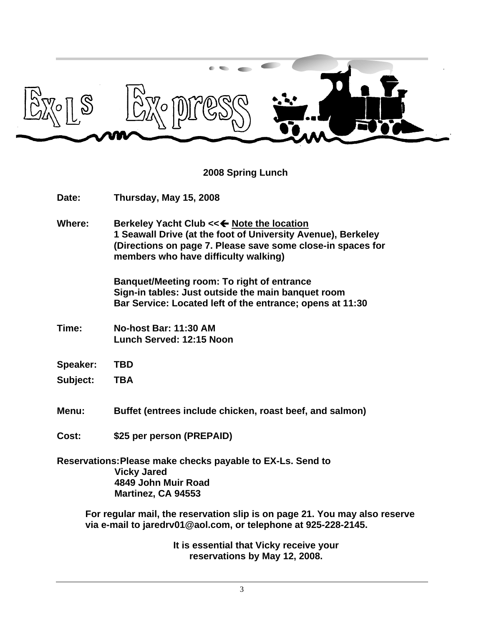

**2008 Spring Lunch**

| Date:           | Thursday, May 15, 2008                                                                                                                                                                                            |  |  |  |
|-----------------|-------------------------------------------------------------------------------------------------------------------------------------------------------------------------------------------------------------------|--|--|--|
| <b>Where:</b>   | Berkeley Yacht Club << < Note the location<br>1 Seawall Drive (at the foot of University Avenue), Berkeley<br>(Directions on page 7. Please save some close-in spaces for<br>members who have difficulty walking) |  |  |  |
|                 | <b>Banquet/Meeting room: To right of entrance</b><br>Sign-in tables: Just outside the main banquet room<br>Bar Service: Located left of the entrance; opens at 11:30                                              |  |  |  |
| Time:           | <b>No-host Bar: 11:30 AM</b><br>Lunch Served: 12:15 Noon                                                                                                                                                          |  |  |  |
| <b>Speaker:</b> | <b>TBD</b>                                                                                                                                                                                                        |  |  |  |
| <b>Subject:</b> | <b>TBA</b>                                                                                                                                                                                                        |  |  |  |
| <b>Menu:</b>    | Buffet (entrees include chicken, roast beef, and salmon)                                                                                                                                                          |  |  |  |
| Cost:           | \$25 per person (PREPAID)                                                                                                                                                                                         |  |  |  |
|                 | Reservations: Please make checks payable to EX-Ls. Send to<br><b>Vicky Jared</b><br>4849 John Muir Road<br>Martinez, CA 94553                                                                                     |  |  |  |
|                 | For regular mail, the reservation slip is on page 21. You may also reserve<br>via e-mail to jaredrv01@aol.com, or telephone at 925-228-2145.                                                                      |  |  |  |

**It is essential that Vicky receive your reservations by May 12, 2008.**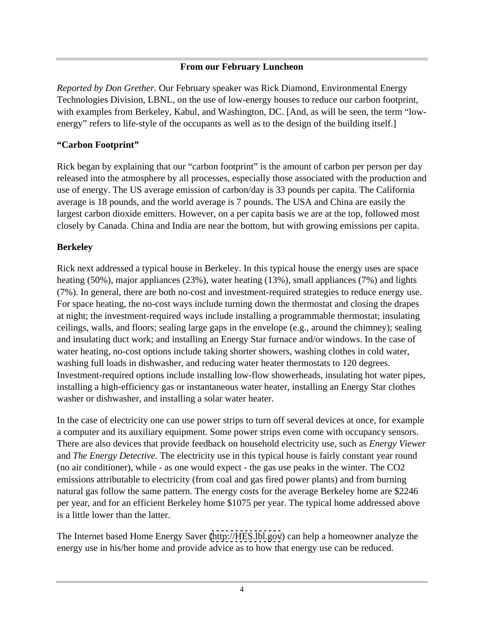#### **From our February Luncheon**

*Reported by Don Grether.* Our February speaker was Rick Diamond, Environmental Energy Technologies Division, LBNL, on the use of low-energy houses to reduce our carbon footprint, with examples from Berkeley, Kabul, and Washington, DC. [And, as will be seen, the term "low energy" refers to life-style of the occupants as well as to the design of the building itself.]

#### **"Carbon Footprint"**

Rick began by explaining that our "carbon footprint" is the amount of carbon per person per day released into the atmosphere by all processes, especially those associated with the production and use of energy. The US average emission of carbon/day is 33 pounds per capita. The California average is 18 pounds, and the world average is 7 pounds. The USA and China are easily the largest carbon dioxide emitters. However, on a per capita basis we are at the top, followed most closely by Canada. China and India are near the bottom, but with growing emissions per capita.

#### **Berkeley**

Rick next addressed a typical house in Berkeley. In this typical house the energy uses are space heating (50%), major appliances (23%), water heating (13%), small appliances (7%) and lights (7%). In general, there are both no-cost and investment-required strategies to reduce energy use. For space heating, the no-cost ways include turning down the thermostat and closing the drapes at night; the investment-required ways include installing a programmable thermostat; insulating ceilings, walls, and floors; sealing large gaps in the envelope (e.g., around the chimney); sealing and insulating duct work; and installing an Energy Star furnace and/or windows. In the case of water heating, no-cost options include taking shorter showers, washing clothes in cold water, washing full loads in dishwasher, and reducing water heater thermostats to 120 degrees. Investment-required options include installing low-flow showerheads, insulating hot water pipes, installing a high-efficiency gas or instantaneous water heater, installing an Energy Star clothes washer or dishwasher, and installing a solar water heater.

In the case of electricity one can use power strips to turn off several devices at once, for example a computer and its auxiliary equipment. Some power strips even come with occupancy sensors. There are also devices that provide feedback on household electricity use, such as *Energy Viewer*  and *The Energy Detective*. The electricity use in this typical house is fairly constant year round (no air conditioner), while - as one would expect - the gas use peaks in the winter. The CO2 emissions attributable to electricity (from coal and gas fired power plants) and from burning natural gas follow the same pattern. The energy costs for the average Berkeley home are \$2246 per year, and for an efficient Berkeley home \$1075 per year. The typical home addressed above is a little lower than the latter.

The Internet based Home Energy Saver [\(http://HES.lbl.gov](http://HES.lbl.gov)) can help a homeowner analyze the energy use in his/her home and provide advice as to how that energy use can be reduced.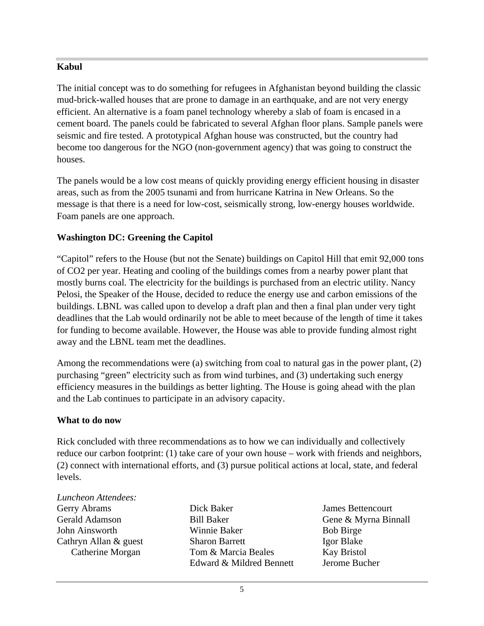#### **Kabul**

The initial concept was to do something for refugees in Afghanistan beyond building the classic mud-brick-walled houses that are prone to damage in an earthquake, and are not very energy efficient. An alternative is a foam panel technology whereby a slab of foam is encased in a cement board. The panels could be fabricated to several Afghan floor plans. Sample panels were seismic and fire tested. A prototypical Afghan house was constructed, but the country had become too dangerous for the NGO (non-government agency) that was going to construct the houses.

The panels would be a low cost means of quickly providing energy efficient housing in disaster areas, such as from the 2005 tsunami and from hurricane Katrina in New Orleans. So the message is that there is a need for low-cost, seismically strong, low-energy houses worldwide. Foam panels are one approach.

#### **Washington DC: Greening the Capitol**

"Capitol" refers to the House (but not the Senate) buildings on Capitol Hill that emit 92,000 tons of CO2 per year. Heating and cooling of the buildings comes from a nearby power plant that mostly burns coal. The electricity for the buildings is purchased from an electric utility. Nancy Pelosi, the Speaker of the House, decided to reduce the energy use and carbon emissions of the buildings. LBNL was called upon to develop a draft plan and then a final plan under very tight deadlines that the Lab would ordinarily not be able to meet because of the length of time it takes for funding to become available. However, the House was able to provide funding almost right away and the LBNL team met the deadlines.

Among the recommendations were (a) switching from coal to natural gas in the power plant, (2) purchasing "green" electricity such as from wind turbines, and (3) undertaking such energy efficiency measures in the buildings as better lighting. The House is going ahead with the plan and the Lab continues to participate in an advisory capacity.

#### **What to do now**

Rick concluded with three recommendations as to how we can individually and collectively reduce our carbon footprint: (1) take care of your own house – work with friends and neighbors, (2) connect with international efforts, and (3) pursue political actions at local, state, and federal levels.

| Luncheon Attendees:   |                       |                      |  |
|-----------------------|-----------------------|----------------------|--|
| Gerry Abrams          | Dick Baker            | James Bettencourt    |  |
| <b>Gerald Adamson</b> | <b>Bill Baker</b>     | Gene & Myrna Binnall |  |
| John Ainsworth        | Winnie Baker          | <b>Bob Birge</b>     |  |
| Cathryn Allan & guest | <b>Sharon Barrett</b> | Igor Blake           |  |
| Catherine Morgan      | Tom & Marcia Beales   | <b>Kay Bristol</b>   |  |

Gerry Abrams **Solution Club Contains Containers** Dick Baker **Sexual Section Section** Section Section 1 ames Bettencourt Gerald Adamson **Bill Baker Gene & Myrna Binnall** John Ainsworth Cathryn Allan & guest Catherine Morgan Tom & Marcia Beales Kay Bristol Dick Baker **Disk Baker** James Bettencourt Bill Baker Gene & Myrna Binnall Winnie Baker Sharon Barrett Tom & Marcia Beales **Example 18 Kay Bristol** Edward & Mildred Bennett

James Bettencourt Bob Birge Igor Blake Kay Bristol Jerome Bucher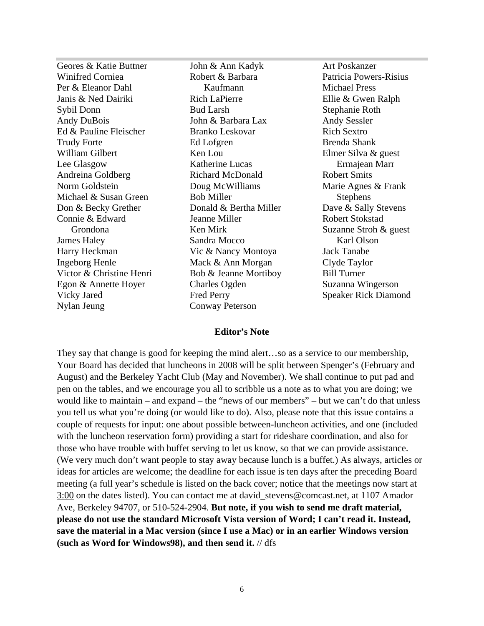| Geores & Katie Buttner   | John & Ann Kadyk        | Art Poskanzer               |
|--------------------------|-------------------------|-----------------------------|
| Winifred Corniea         | Robert & Barbara        | Patricia Powers-Risius      |
| Per & Eleanor Dahl       | Kaufmann                | <b>Michael Press</b>        |
| Janis & Ned Dairiki      | <b>Rich LaPierre</b>    | Ellie & Gwen Ralph          |
| Sybil Donn               | <b>Bud Larsh</b>        | Stephanie Roth              |
| Andy DuBois              | John & Barbara Lax      | <b>Andy Sessler</b>         |
| Ed & Pauline Fleischer   | Branko Leskovar         | Rich Sextro                 |
| <b>Trudy Forte</b>       | Ed Lofgren              | <b>Brenda Shank</b>         |
| William Gilbert          | Ken Lou                 | Elmer Silva & guest         |
| Lee Glasgow              | Katherine Lucas         | Ermajean Marr               |
| Andreina Goldberg        | <b>Richard McDonald</b> | <b>Robert Smits</b>         |
| Norm Goldstein           | Doug McWilliams         | Marie Agnes & Frank         |
| Michael & Susan Green    | <b>Bob Miller</b>       | Stephens                    |
| Don & Becky Grether      | Donald & Bertha Miller  | Dave & Sally Stevens        |
| Connie & Edward          | Jeanne Miller           | <b>Robert Stokstad</b>      |
| Grondona                 | Ken Mirk                | Suzanne Stroh & guest       |
| James Haley              | Sandra Mocco            | Karl Olson                  |
| Harry Heckman            | Vic & Nancy Montoya     | Jack Tanabe                 |
| <b>Ingeborg Henle</b>    | Mack & Ann Morgan       | Clyde Taylor                |
| Victor & Christine Henri | Bob & Jeanne Mortiboy   | <b>Bill Turner</b>          |
| Egon & Annette Hoyer     | <b>Charles Ogden</b>    | Suzanna Wingerson           |
| Vicky Jared              | Fred Perry              | <b>Speaker Rick Diamond</b> |
| Nylan Jeung              | <b>Conway Peterson</b>  |                             |

#### **Editor's Note**

They say that change is good for keeping the mind alert…so as a service to our membership, Your Board has decided that luncheons in 2008 will be split between Spenger's (February and August) and the Berkeley Yacht Club (May and November). We shall continue to put pad and pen on the tables, and we encourage you all to scribble us a note as to what you are doing; we would like to maintain – and expand – the "news of our members" – but we can't do that unless you tell us what you're doing (or would like to do). Also, please note that this issue contains a couple of requests for input: one about possible between-luncheon activities, and one (included with the luncheon reservation form) providing a start for rideshare coordination, and also for those who have trouble with buffet serving to let us know, so that we can provide assistance. (We very much don't want people to stay away because lunch is a buffet.) As always, articles or ideas for articles are welcome; the deadline for each issue is ten days after the preceding Board meeting (a full year's schedule is listed on the back cover; notice that the meetings now start at 3:00 on the dates listed). You can contact me at david\_stevens@comcast.net, at 1107 Amador Ave, Berkeley 94707, or 510-524-2904. **But note, if you wish to send me draft material, please do not use the standard Microsoft Vista version of Word; I can't read it. Instead, save the material in a Mac version (since I use a Mac) or in an earlier Windows version (such as Word for Windows98), and then send it.** // dfs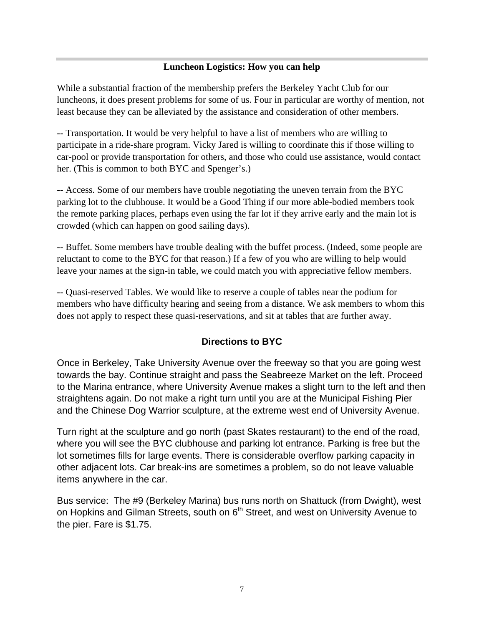#### **Luncheon Logistics: How you can help**

While a substantial fraction of the membership prefers the Berkeley Yacht Club for our luncheons, it does present problems for some of us. Four in particular are worthy of mention, not

least because they can be alleviated by the assistance and consideration of other members. -- Transportation. It would be very helpful to have a list of members who are willing to participate in a ride-share program. Vicky Jared is willing to coordinate this if those willing to car-pool or provide transportation for others, and those who could use assistance, would contact her. (This is common to both BYC and Spenger's.)

-- Access. Some of our members have trouble negotiating the uneven terrain from the BYC parking lot to the clubhouse. It would be a Good Thing if our more able-bodied members took the remote parking places, perhaps even using the far lot if they arrive early and the main lot is crowded (which can happen on good sailing days).

-- Buffet. Some members have trouble dealing with the buffet process. (Indeed, some people are reluctant to come to the BYC for that reason.) If a few of you who are willing to help would leave your names at the sign-in table, we could match you with appreciative fellow members.

-- Quasi-reserved Tables. We would like to reserve a couple of tables near the podium for members who have difficulty hearing and seeing from a distance. We ask members to whom this does not apply to respect these quasi-reservations, and sit at tables that are further away.

#### **Directions to BYC**

Once in Berkeley, Take University Avenue over the freeway so that you are going west towards the bay. Continue straight and pass the Seabreeze Market on the left. Proceed to the Marina entrance, where University Avenue makes a slight turn to the left and then straightens again. Do not make a right turn until you are at the Municipal Fishing Pier and the Chinese Dog Warrior sculpture, at the extreme west end of University Avenue.

Turn right at the sculpture and go north (past Skates restaurant) to the end of the road, where you will see the BYC clubhouse and parking lot entrance. Parking is free but the lot sometimes fills for large events. There is considerable overflow parking capacity in other adjacent lots. Car break-ins are sometimes a problem, so do not leave valuable items anywhere in the car.

Bus service: The #9 (Berkeley Marina) bus runs north on Shattuck (from Dwight), west on Hopkins and Gilman Streets, south on 6<sup>th</sup> Street, and west on University Avenue to the pier. Fare is \$1.75.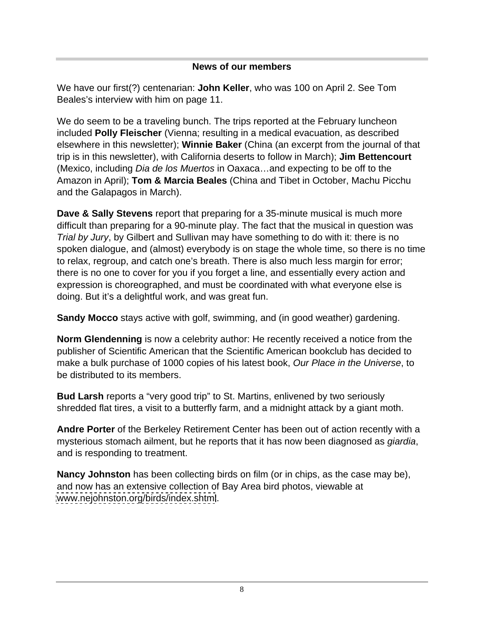#### **News of our members**

We have our first(?) centenarian: **John Keller**, who was 100 on April 2. See Tom Beales's interview with him on page 11.

We do seem to be a traveling bunch. The trips reported at the February luncheon included **Polly Fleischer** (Vienna; resulting in a medical evacuation, as described elsewhere in this newsletter); **Winnie Baker** (China (an excerpt from the journal of that trip is in this newsletter), with California deserts to follow in March); **Jim Bettencourt** (Mexico, including Dia de los Muertos in Oaxaca…and expecting to be off to the Amazon in April); **Tom & Marcia Beales** (China and Tibet in October, Machu Picchu and the Galapagos in March).

**Dave & Sally Stevens** report that preparing for a 35-minute musical is much more difficult than preparing for a 90-minute play. The fact that the musical in question was Trial by Jury, by Gilbert and Sullivan may have something to do with it: there is no spoken dialogue, and (almost) everybody is on stage the whole time, so there is no time to relax, regroup, and catch one's breath. There is also much less margin for error; there is no one to cover for you if you forget a line, and essentially every action and expression is choreographed, and must be coordinated with what everyone else is doing. But it's a delightful work, and was great fun.

**Sandy Mocco** stays active with golf, swimming, and (in good weather) gardening.

**Norm Glendenning** is now a celebrity author: He recently received a notice from the publisher of Scientific American that the Scientific American bookclub has decided to make a bulk purchase of 1000 copies of his latest book, Our Place in the Universe, to be distributed to its members.

**Bud Larsh** reports a "very good trip" to St. Martins, enlivened by two seriously shredded flat tires, a visit to a butterfly farm, and a midnight attack by a giant moth.

**Andre Porter** of the Berkeley Retirement Center has been out of action recently with a mysterious stomach ailment, but he reports that it has now been diagnosed as *giardia*, and is responding to treatment.

**Nancy Johnston** has been collecting birds on film (or in chips, as the case may be), and now has an extensive collection of Bay Area bird photos, viewable at [www.nejohnston.org/birds/index.shtml](http://www.nejohnston.org/birds/index.shtml).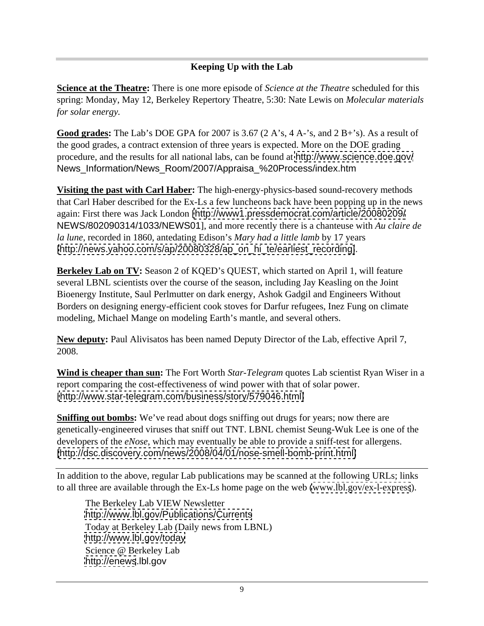#### **Keeping Up with the Lab**

**Science at the Theatre:** There is one more episode of *Science at the Theatre* scheduled for this spring: Monday, May 12, Berkeley Repertory Theatre, 5:30: Nate Lewis on *Molecular materials for solar energy.*

**Good grades:** The Lab's DOE GPA for 2007 is 3.67 (2 A's, 4 A-'s, and 2 B+'s). As a result of the good grades, a contract extension of three years is expected. More on the DOE grading procedure, and the results for all national labs, can be found at <http://www.science.doe.gov/> News\_Information/News\_Room/2007/Appraisa\_%20Process/index.htm

**Visiting the past with Carl Haber:** The high-energy-physics-based sound-recovery methods that Carl Haber described for the Ex-Ls a few luncheons back have been popping up in the news again: First there was Jack London [<http://www1.pressdemocrat.com/article/20080209/> NEWS/802090314/1033/NEWS01], and more recently there is a chanteuse with *Au claire de la lune*, recorded in 1860, antedating Edison's *Mary had a little lamb* by 17 years [\[http://news.yahoo.com/s/ap/20080328/ap\\_on\\_hi\\_te/earliest\\_recording\]](http://news.yahoo.com/s/ap/20080328/ap_on_hi_te/earliest_recording]).

**Berkeley Lab on TV:** Season 2 of KQED's QUEST, which started on April 1, will feature several LBNL scientists over the course of the season, including Jay Keasling on the Joint Bioenergy Institute, Saul Perlmutter on dark energy, Ashok Gadgil and Engineers Without Borders on designing energy-efficient cook stoves for Darfur refugees, Inez Fung on climate modeling, Michael Mange on modeling Earth's mantle, and several others.

**New deputy:** Paul Alivisatos has been named Deputy Director of the Lab, effective April 7, 2008.

**Wind is cheaper than sun:** The Fort Worth *Star-Telegram* quotes Lab scientist Ryan Wiser in a report comparing the cost-effectiveness of wind power with that of solar power. [[http://www.star-telegram.com/business/story/579046.html\]](http://www.star-telegram.com/business/story/579046.html])

**Sniffing out bombs:** We've read about dogs sniffing out drugs for years; now there are genetically-engineered viruses that sniff out TNT. LBNL chemist Seung-Wuk Lee is one of the developers of the *eNose*, which may eventually be able to provide a sniff-test for allergens. [\[http://dsc.discovery.com/news/2008/04/01/nose-smell-bomb-print.html\]](http://dsc.discovery.com/news/2008/04/01/nose-smell-bomb-print.html])

In addition to the above, regular Lab publications may be scanned at the following URLs; links to all three are available through the Ex-Ls home page on the web [\(www.lbl.gov/ex-l-express](http://www.lbl.gov/ex-l-express)).

The Berkeley Lab VIEW Newsletter <http://www.lbl.gov/Publications/Currents> Today at Berkeley Lab (Daily news from LBNL) <http://www.lbl.gov/today> Science @ Berkeley Lab <http://enews>.lbl.gov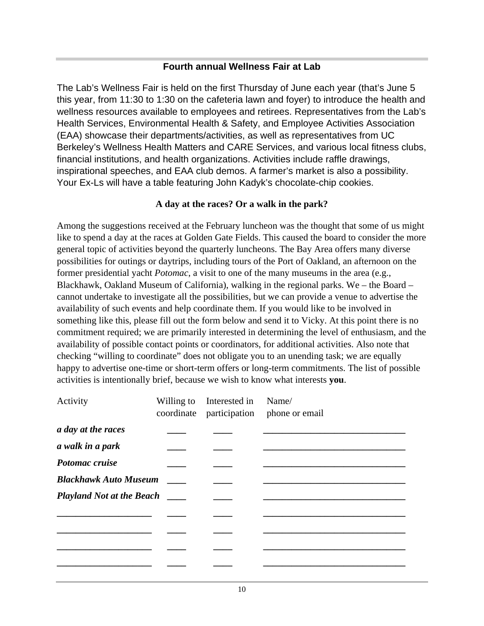#### **Fourth annual Wellness Fair at Lab**

The Lab's Wellness Fair is held on the first Thursday of June each year (that's June 5 this year, from 11:30 to 1:30 on the cafeteria lawn and foyer) to introduce the health and wellness resources available to employees and retirees. Representatives from the Lab's Health Services, Environmental Health & Safety, and Employee Activities Association (EAA) showcase their departments/activities, as well as representatives from UC Berkeley's Wellness Health Matters and CARE Services, and various local fitness clubs, financial institutions, and health organizations. Activities include raffle drawings, inspirational speeches, and EAA club demos. A farmer's market is also a possibility. Your Ex-Ls will have a table featuring John Kadyk's chocolate-chip cookies.

#### **A day at the races? Or a walk in the park?**

Among the suggestions received at the February luncheon was the thought that some of us might like to spend a day at the races at Golden Gate Fields. This caused the board to consider the more general topic of activities beyond the quarterly luncheons. The Bay Area offers many diverse possibilities for outings or daytrips, including tours of the Port of Oakland, an afternoon on the former presidential yacht *Potomac*, a visit to one of the many museums in the area (e.g., Blackhawk, Oakland Museum of California), walking in the regional parks. We – the Board – cannot undertake to investigate all the possibilities, but we can provide a venue to advertise the availability of such events and help coordinate them. If you would like to be involved in something like this, please fill out the form below and send it to Vicky. At this point there is no commitment required; we are primarily interested in determining the level of enthusiasm, and the availability of possible contact points or coordinators, for additional activities. Also note that checking "willing to coordinate" does not obligate you to an unending task; we are equally happy to advertise one-time or short-term offers or long-term commitments. The list of possible activities is intentionally brief, because we wish to know what interests **you**.

| Activity                         |                                | Willing to Interested in Name/                                                                                                                                                                                                                                                                                                                                                                                                                                             |                                         |
|----------------------------------|--------------------------------|----------------------------------------------------------------------------------------------------------------------------------------------------------------------------------------------------------------------------------------------------------------------------------------------------------------------------------------------------------------------------------------------------------------------------------------------------------------------------|-----------------------------------------|
|                                  |                                |                                                                                                                                                                                                                                                                                                                                                                                                                                                                            | coordinate participation phone or email |
| a day at the races               | $\overbrace{\hspace{25mm}}^{}$ | ______                                                                                                                                                                                                                                                                                                                                                                                                                                                                     |                                         |
| a walk in a park                 | $\overbrace{\hspace{25mm}}^{}$ | _____                                                                                                                                                                                                                                                                                                                                                                                                                                                                      |                                         |
| Potomac cruise                   | $\overbrace{\hspace{25mm}}$    | $\overbrace{\hspace{25mm}}^{}$                                                                                                                                                                                                                                                                                                                                                                                                                                             |                                         |
| <b>Blackhawk Auto Museum</b>     |                                | $\overbrace{\hspace{25mm}}^{}$                                                                                                                                                                                                                                                                                                                                                                                                                                             |                                         |
| <b>Playland Not at the Beach</b> |                                | $\overbrace{\hspace{25mm}}^{}$                                                                                                                                                                                                                                                                                                                                                                                                                                             |                                         |
|                                  |                                | $\frac{1}{2} \left( \frac{1}{2} \right) \left( \frac{1}{2} \right) \left( \frac{1}{2} \right) \left( \frac{1}{2} \right) \left( \frac{1}{2} \right) \left( \frac{1}{2} \right) \left( \frac{1}{2} \right) \left( \frac{1}{2} \right) \left( \frac{1}{2} \right) \left( \frac{1}{2} \right) \left( \frac{1}{2} \right) \left( \frac{1}{2} \right) \left( \frac{1}{2} \right) \left( \frac{1}{2} \right) \left( \frac{1}{2} \right) \left( \frac{1}{2} \right) \left( \frac$ |                                         |
|                                  |                                |                                                                                                                                                                                                                                                                                                                                                                                                                                                                            |                                         |
|                                  |                                |                                                                                                                                                                                                                                                                                                                                                                                                                                                                            |                                         |
|                                  |                                | _______                                                                                                                                                                                                                                                                                                                                                                                                                                                                    |                                         |
|                                  |                                | ____                                                                                                                                                                                                                                                                                                                                                                                                                                                                       |                                         |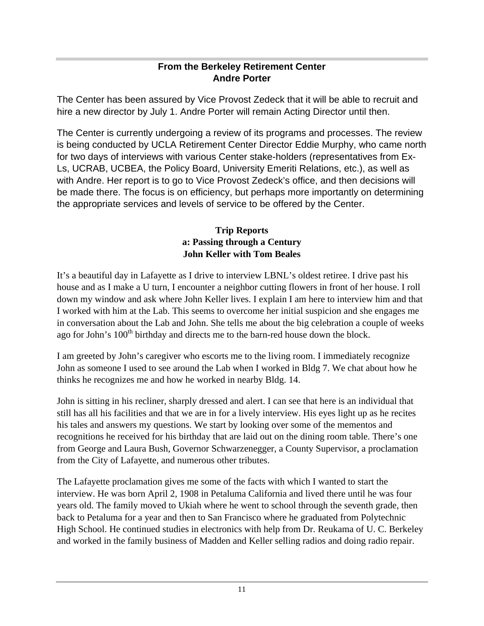#### **From the Berkeley Retirement Center Andre Porter**

The Center has been assured by Vice Provost Zedeck that it will be able to recruit and hire a new director by July 1. Andre Porter will remain Acting Director until then.

The Center is currently undergoing a review of its programs and processes. The review is being conducted by UCLA Retirement Center Director Eddie Murphy, who came north for two days of interviews with various Center stake-holders (representatives from Ex- Ls, UCRAB, UCBEA, the Policy Board, University Emeriti Relations, etc.), as well as with Andre. Her report is to go to Vice Provost Zedeck's office, and then decisions will be made there. The focus is on efficiency, but perhaps more importantly on determining the appropriate services and levels of service to be offered by the Center.

#### **Trip Reports a: Passing through a Century John Keller with Tom Beales**

It's a beautiful day in Lafayette as I drive to interview LBNL's oldest retiree. I drive past his house and as I make a U turn, I encounter a neighbor cutting flowers in front of her house. I roll down my window and ask where John Keller lives. I explain I am here to interview him and that I worked with him at the Lab. This seems to overcome her initial suspicion and she engages me in conversation about the Lab and John. She tells me about the big celebration a couple of weeks ago for John's  $100<sup>th</sup>$  birthday and directs me to the barn-red house down the block.

I am greeted by John's caregiver who escorts me to the living room. I immediately recognize John as someone I used to see around the Lab when I worked in Bldg 7. We chat about how he thinks he recognizes me and how he worked in nearby Bldg. 14.

John is sitting in his recliner, sharply dressed and alert. I can see that here is an individual that still has all his facilities and that we are in for a lively interview. His eyes light up as he recites his tales and answers my questions. We start by looking over some of the mementos and recognitions he received for his birthday that are laid out on the dining room table. There's one from George and Laura Bush, Governor Schwarzenegger, a County Supervisor, a proclamation from the City of Lafayette, and numerous other tributes.

The Lafayette proclamation gives me some of the facts with which I wanted to start the interview. He was born April 2, 1908 in Petaluma California and lived there until he was four years old. The family moved to Ukiah where he went to school through the seventh grade, then back to Petaluma for a year and then to San Francisco where he graduated from Polytechnic High School. He continued studies in electronics with help from Dr. Reukama of U. C. Berkeley and worked in the family business of Madden and Keller selling radios and doing radio repair.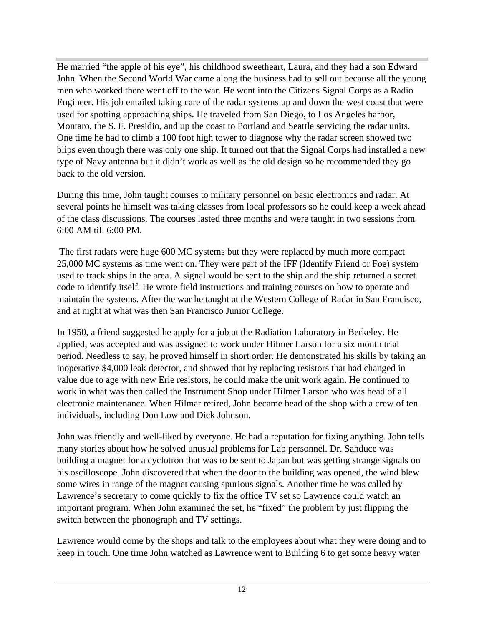He married "the apple of his eye", his childhood sweetheart, Laura, and they had a son Edward John. When the Second World War came along the business had to sell out because all the young men who worked there went off to the war. He went into the Citizens Signal Corps as a Radio Engineer. His job entailed taking care of the radar systems up and down the west coast that were used for spotting approaching ships. He traveled from San Diego, to Los Angeles harbor, Montaro, the S. F. Presidio, and up the coast to Portland and Seattle servicing the radar units. One time he had to climb a 100 foot high tower to diagnose why the radar screen showed two blips even though there was only one ship. It turned out that the Signal Corps had installed a new type of Navy antenna but it didn't work as well as the old design so he recommended they go back to the old version.

During this time, John taught courses to military personnel on basic electronics and radar. At several points he himself was taking classes from local professors so he could keep a week ahead of the class discussions. The courses lasted three months and were taught in two sessions from 6:00 AM till 6:00 PM.

 The first radars were huge 600 MC systems but they were replaced by much more compact 25,000 MC systems as time went on. They were part of the IFF (Identify Friend or Foe) system used to track ships in the area. A signal would be sent to the ship and the ship returned a secret code to identify itself. He wrote field instructions and training courses on how to operate and maintain the systems. After the war he taught at the Western College of Radar in San Francisco, and at night at what was then San Francisco Junior College.

In 1950, a friend suggested he apply for a job at the Radiation Laboratory in Berkeley. He applied, was accepted and was assigned to work under Hilmer Larson for a six month trial period. Needless to say, he proved himself in short order. He demonstrated his skills by taking an inoperative \$4,000 leak detector, and showed that by replacing resistors that had changed in value due to age with new Erie resistors, he could make the unit work again. He continued to work in what was then called the Instrument Shop under Hilmer Larson who was head of all electronic maintenance. When Hilmar retired, John became head of the shop with a crew of ten individuals, including Don Low and Dick Johnson.

John was friendly and well-liked by everyone. He had a reputation for fixing anything. John tells many stories about how he solved unusual problems for Lab personnel. Dr. Sahduce was building a magnet for a cyclotron that was to be sent to Japan but was getting strange signals on his oscilloscope. John discovered that when the door to the building was opened, the wind blew some wires in range of the magnet causing spurious signals. Another time he was called by Lawrence's secretary to come quickly to fix the office TV set so Lawrence could watch an important program. When John examined the set, he "fixed" the problem by just flipping the switch between the phonograph and TV settings.

Lawrence would come by the shops and talk to the employees about what they were doing and to keep in touch. One time John watched as Lawrence went to Building 6 to get some heavy water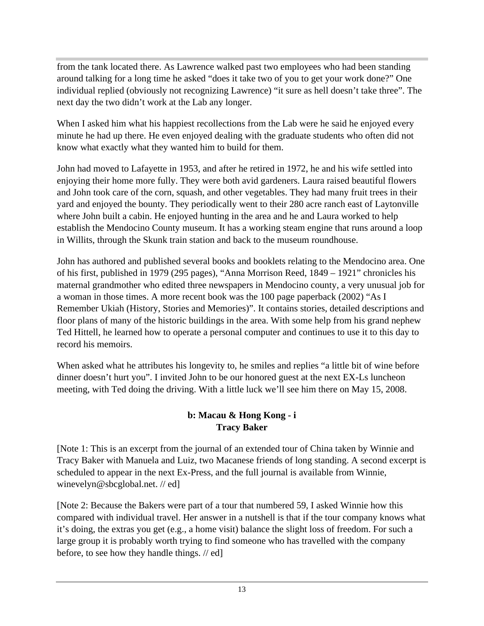from the tank located there. As Lawrence walked past two employees who had been standing around talking for a long time he asked "does it take two of you to get your work done?" One individual replied (obviously not recognizing Lawrence) "it sure as hell doesn't take three". The next day the two didn't work at the Lab any longer.

When I asked him what his happiest recollections from the Lab were he said he enjoyed every minute he had up there. He even enjoyed dealing with the graduate students who often did not know what exactly what they wanted him to build for them.

John had moved to Lafayette in 1953, and after he retired in 1972, he and his wife settled into enjoying their home more fully. They were both avid gardeners. Laura raised beautiful flowers and John took care of the corn, squash, and other vegetables. They had many fruit trees in their yard and enjoyed the bounty. They periodically went to their 280 acre ranch east of Laytonville where John built a cabin. He enjoyed hunting in the area and he and Laura worked to help establish the Mendocino County museum. It has a working steam engine that runs around a loop in Willits, through the Skunk train station and back to the museum roundhouse.

John has authored and published several books and booklets relating to the Mendocino area. One of his first, published in 1979 (295 pages), "Anna Morrison Reed, 1849 – 1921" chronicles his maternal grandmother who edited three newspapers in Mendocino county, a very unusual job for a woman in those times. A more recent book was the 100 page paperback (2002) "As I Remember Ukiah (History, Stories and Memories)". It contains stories, detailed descriptions and floor plans of many of the historic buildings in the area. With some help from his grand nephew Ted Hittell, he learned how to operate a personal computer and continues to use it to this day to record his memoirs.

When asked what he attributes his longevity to, he smiles and replies "a little bit of wine before dinner doesn't hurt you". I invited John to be our honored guest at the next EX-Ls luncheon meeting, with Ted doing the driving. With a little luck we'll see him there on May 15, 2008.

#### **b: Macau & Hong Kong - i Tracy Baker**

[Note 1: This is an excerpt from the journal of an extended tour of China taken by Winnie and Tracy Baker with Manuela and Luiz, two Macanese friends of long standing. A second excerpt is scheduled to appear in the next Ex-Press, and the full journal is available from Winnie, winevelyn@sbcglobal.net. // ed]

[Note 2: Because the Bakers were part of a tour that numbered 59, I asked Winnie how this compared with individual travel. Her answer in a nutshell is that if the tour company knows what it's doing, the extras you get (e.g., a home visit) balance the slight loss of freedom. For such a large group it is probably worth trying to find someone who has travelled with the company before, to see how they handle things. // ed]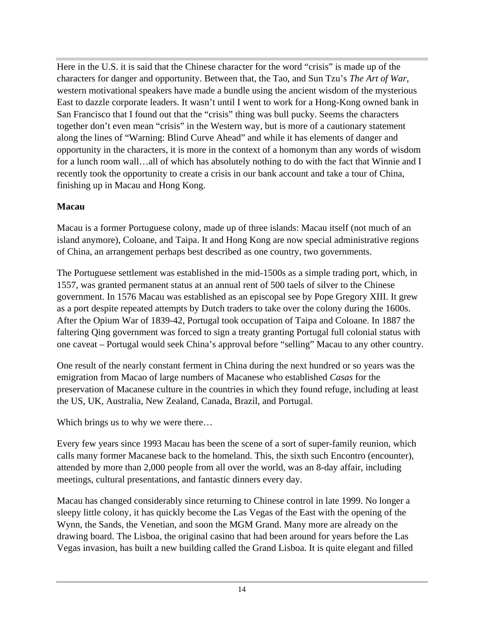Here in the U.S. it is said that the Chinese character for the word "crisis" is made up of the characters for danger and opportunity. Between that, the Tao, and Sun Tzu's *The Art of War*, western motivational speakers have made a bundle using the ancient wisdom of the mysterious East to dazzle corporate leaders. It wasn't until I went to work for a Hong-Kong owned bank in San Francisco that I found out that the "crisis" thing was bull pucky. Seems the characters together don't even mean "crisis" in the Western way, but is more of a cautionary statement along the lines of "Warning: Blind Curve Ahead" and while it has elements of danger and opportunity in the characters, it is more in the context of a homonym than any words of wisdom for a lunch room wall…all of which has absolutely nothing to do with the fact that Winnie and I recently took the opportunity to create a crisis in our bank account and take a tour of China, finishing up in Macau and Hong Kong.

#### **Macau**

Macau is a former Portuguese colony, made up of three islands: Macau itself (not much of an island anymore), Coloane, and Taipa. It and Hong Kong are now special administrative regions of China, an arrangement perhaps best described as one country, two governments.

The Portuguese settlement was established in the mid-1500s as a simple trading port, which, in 1557, was granted permanent status at an annual rent of 500 taels of silver to the Chinese government. In 1576 Macau was established as an episcopal see by Pope Gregory XIII. It grew as a port despite repeated attempts by Dutch traders to take over the colony during the 1600s. After the Opium War of 1839-42, Portugal took occupation of Taipa and Coloane. In 1887 the faltering Qing government was forced to sign a treaty granting Portugal full colonial status with one caveat – Portugal would seek China's approval before "selling" Macau to any other country.

One result of the nearly constant ferment in China during the next hundred or so years was the emigration from Macao of large numbers of Macanese who established *Casas* for the preservation of Macanese culture in the countries in which they found refuge, including at least the US, UK, Australia, New Zealand, Canada, Brazil, and Portugal.

Which brings us to why we were there…

Every few years since 1993 Macau has been the scene of a sort of super-family reunion, which calls many former Macanese back to the homeland. This, the sixth such Encontro (encounter), attended by more than 2,000 people from all over the world, was an 8-day affair, including meetings, cultural presentations, and fantastic dinners every day.

Macau has changed considerably since returning to Chinese control in late 1999. No longer a sleepy little colony, it has quickly become the Las Vegas of the East with the opening of the Wynn, the Sands, the Venetian, and soon the MGM Grand. Many more are already on the drawing board. The Lisboa, the original casino that had been around for years before the Las Vegas invasion, has built a new building called the Grand Lisboa. It is quite elegant and filled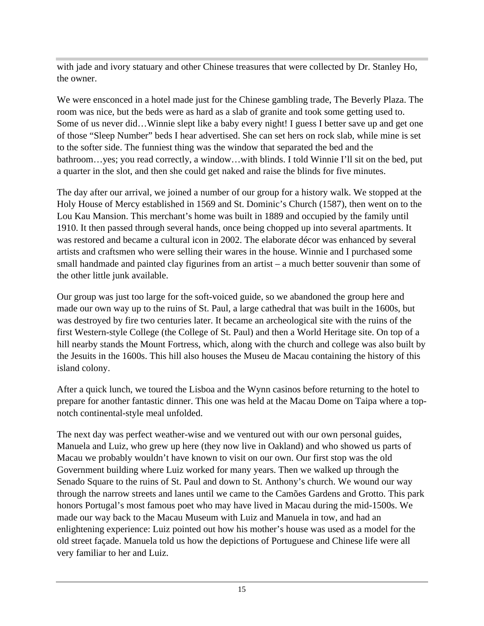with jade and ivory statuary and other Chinese treasures that were collected by Dr. Stanley Ho, the owner.

We were ensconced in a hotel made just for the Chinese gambling trade, The Beverly Plaza. The room was nice, but the beds were as hard as a slab of granite and took some getting used to. Some of us never did…Winnie slept like a baby every night! I guess I better save up and get one of those "Sleep Number" beds I hear advertised. She can set hers on rock slab, while mine is set to the softer side. The funniest thing was the window that separated the bed and the bathroom…yes; you read correctly, a window…with blinds. I told Winnie I'll sit on the bed, put a quarter in the slot, and then she could get naked and raise the blinds for five minutes.

The day after our arrival, we joined a number of our group for a history walk. We stopped at the Holy House of Mercy established in 1569 and St. Dominic's Church (1587), then went on to the Lou Kau Mansion. This merchant's home was built in 1889 and occupied by the family until 1910. It then passed through several hands, once being chopped up into several apartments. It was restored and became a cultural icon in 2002. The elaborate décor was enhanced by several artists and craftsmen who were selling their wares in the house. Winnie and I purchased some small handmade and painted clay figurines from an artist – a much better souvenir than some of the other little junk available.

Our group was just too large for the soft-voiced guide, so we abandoned the group here and made our own way up to the ruins of St. Paul, a large cathedral that was built in the 1600s, but was destroyed by fire two centuries later. It became an archeological site with the ruins of the first Western-style College (the College of St. Paul) and then a World Heritage site. On top of a hill nearby stands the Mount Fortress, which, along with the church and college was also built by the Jesuits in the 1600s. This hill also houses the Museu de Macau containing the history of this island colony.

After a quick lunch, we toured the Lisboa and the Wynn casinos before returning to the hotel to prepare for another fantastic dinner. This one was held at the Macau Dome on Taipa where a top notch continental-style meal unfolded.

The next day was perfect weather-wise and we ventured out with our own personal guides, Manuela and Luiz, who grew up here (they now live in Oakland) and who showed us parts of Macau we probably wouldn't have known to visit on our own. Our first stop was the old Government building where Luiz worked for many years. Then we walked up through the Senado Square to the ruins of St. Paul and down to St. Anthony's church. We wound our way through the narrow streets and lanes until we came to the Camões Gardens and Grotto. This park honors Portugal's most famous poet who may have lived in Macau during the mid-1500s. We made our way back to the Macau Museum with Luiz and Manuela in tow, and had an enlightening experience: Luiz pointed out how his mother's house was used as a model for the old street façade. Manuela told us how the depictions of Portuguese and Chinese life were all very familiar to her and Luiz.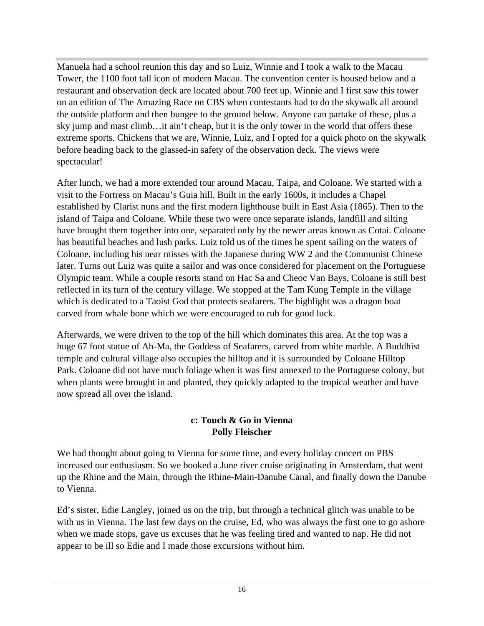Manuela had a school reunion this day and so Luiz, Winnie and I took a walk to the Macau Tower, the 1100 foot tall icon of modern Macau. The convention center is housed below and a restaurant and observation deck are located about 700 feet up. Winnie and I first saw this tower on an edition of The Amazing Race on CBS when contestants had to do the skywalk all around the outside platform and then bungee to the ground below. Anyone can partake of these, plus a sky jump and mast climb…it ain't cheap, but it is the only tower in the world that offers these extreme sports. Chickens that we are, Winnie, Luiz, and I opted for a quick photo on the skywalk before heading back to the glassed-in safety of the observation deck. The views were spectacular!

After lunch, we had a more extended tour around Macau, Taipa, and Coloane. We started with a visit to the Fortress on Macau's Guia hill. Built in the early 1600s, it includes a Chapel established by Clarist nuns and the first modern lighthouse built in East Asia (1865). Then to the island of Taipa and Coloane. While these two were once separate islands, landfill and silting have brought them together into one, separated only by the newer areas known as Cotai. Coloane has beautiful beaches and lush parks. Luiz told us of the times he spent sailing on the waters of Coloane, including his near misses with the Japanese during WW 2 and the Communist Chinese later. Turns out Luiz was quite a sailor and was once considered for placement on the Portuguese Olympic team. While a couple resorts stand on Hac Sa and Cheoc Van Bays, Coloane is still best reflected in its turn of the century village. We stopped at the Tam Kung Temple in the village which is dedicated to a Taoist God that protects seafarers. The highlight was a dragon boat carved from whale bone which we were encouraged to rub for good luck.

Afterwards, we were driven to the top of the hill which dominates this area. At the top was a huge 67 foot statue of Ah-Ma, the Goddess of Seafarers, carved from white marble. A Buddhist temple and cultural village also occupies the hilltop and it is surrounded by Coloane Hilltop Park. Coloane did not have much foliage when it was first annexed to the Portuguese colony, but when plants were brought in and planted, they quickly adapted to the tropical weather and have now spread all over the island.

#### **c: Touch & Go in Vienna Polly Fleischer**

We had thought about going to Vienna for some time, and every holiday concert on PBS increased our enthusiasm. So we booked a June river cruise originating in Amsterdam, that went up the Rhine and the Main, through the Rhine-Main-Danube Canal, and finally down the Danube to Vienna.

Ed's sister, Edie Langley, joined us on the trip, but through a technical glitch was unable to be with us in Vienna. The last few days on the cruise, Ed, who was always the first one to go ashore when we made stops, gave us excuses that he was feeling tired and wanted to nap. He did not appear to be ill so Edie and I made those excursions without him.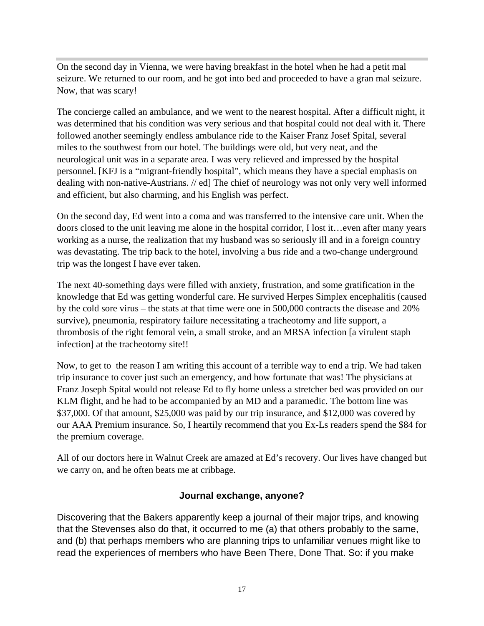On the second day in Vienna, we were having breakfast in the hotel when he had a petit mal seizure. We returned to our room, and he got into bed and proceeded to have a gran mal seizure. Now, that was scary!

The concierge called an ambulance, and we went to the nearest hospital. After a difficult night, it was determined that his condition was very serious and that hospital could not deal with it. There followed another seemingly endless ambulance ride to the Kaiser Franz Josef Spital, several miles to the southwest from our hotel. The buildings were old, but very neat, and the neurological unit was in a separate area. I was very relieved and impressed by the hospital personnel. [KFJ is a "migrant-friendly hospital", which means they have a special emphasis on dealing with non-native-Austrians. // ed] The chief of neurology was not only very well informed and efficient, but also charming, and his English was perfect.

On the second day, Ed went into a coma and was transferred to the intensive care unit. When the doors closed to the unit leaving me alone in the hospital corridor, I lost it…even after many years working as a nurse, the realization that my husband was so seriously ill and in a foreign country was devastating. The trip back to the hotel, involving a bus ride and a two-change underground trip was the longest I have ever taken.

The next 40-something days were filled with anxiety, frustration, and some gratification in the knowledge that Ed was getting wonderful care. He survived Herpes Simplex encephalitis (caused by the cold sore virus – the stats at that time were one in 500,000 contracts the disease and 20% survive), pneumonia, respiratory failure necessitating a tracheotomy and life support, a thrombosis of the right femoral vein, a small stroke, and an MRSA infection [a virulent staph infection] at the tracheotomy site!!

Now, to get to the reason I am writing this account of a terrible way to end a trip. We had taken trip insurance to cover just such an emergency, and how fortunate that was! The physicians at Franz Joseph Spital would not release Ed to fly home unless a stretcher bed was provided on our KLM flight, and he had to be accompanied by an MD and a paramedic. The bottom line was \$37,000. Of that amount, \$25,000 was paid by our trip insurance, and \$12,000 was covered by our AAA Premium insurance. So, I heartily recommend that you Ex-Ls readers spend the \$84 for the premium coverage.

All of our doctors here in Walnut Creek are amazed at Ed's recovery. Our lives have changed but we carry on, and he often beats me at cribbage.

# **Journal exchange, anyone?**

Discovering that the Bakers apparently keep a journal of their major trips, and knowing that the Stevenses also do that, it occurred to me (a) that others probably to the same, and (b) that perhaps members who are planning trips to unfamiliar venues might like to read the experiences of members who have Been There, Done That. So: if you make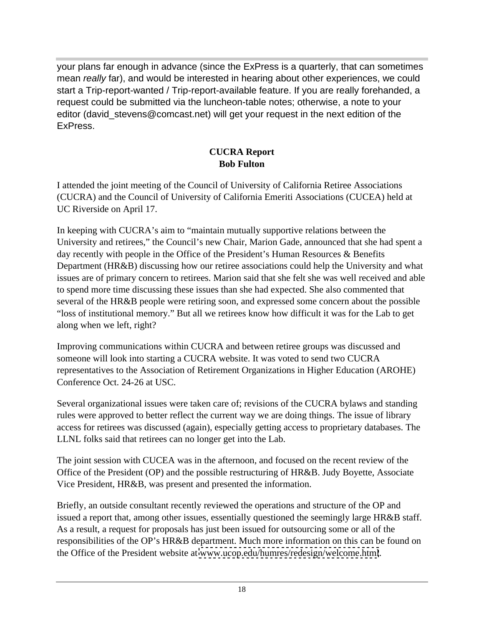your plans far enough in advance (since the ExPress is a quarterly, that can sometimes mean really far), and would be interested in hearing about other experiences, we could start a Trip-report-wanted / Trip-report-available feature. If you are really forehanded, a request could be submitted via the luncheon-table notes; otherwise, a note to your editor (david stevens@comcast.net) will get your request in the next edition of the ExPress. **Express**.

#### **CUCRA Report Bob Fulton**

I attended the joint meeting of the Council of University of California Retiree Associations (CUCRA) and the Council of University of California Emeriti Associations (CUCEA) held at UC Riverside on April 17.

In keeping with CUCRA's aim to "maintain mutually supportive relations between the University and retirees," the Council's new Chair, Marion Gade, announced that she had spent a day recently with people in the Office of the President's Human Resources & Benefits Department (HR&B) discussing how our retiree associations could help the University and what issues are of primary concern to retirees. Marion said that she felt she was well received and able to spend more time discussing these issues than she had expected. She also commented that several of the HR&B people were retiring soon, and expressed some concern about the possible "loss of institutional memory." But all we retirees know how difficult it was for the Lab to get along when we left, right?

Improving communications within CUCRA and between retiree groups was discussed and someone will look into starting a CUCRA website. It was voted to send two CUCRA representatives to the Association of Retirement Organizations in Higher Education (AROHE) Conference Oct. 24-26 at USC.

Several organizational issues were taken care of; revisions of the CUCRA bylaws and standing rules were approved to better reflect the current way we are doing things. The issue of library access for retirees was discussed (again), especially getting access to proprietary databases. The LLNL folks said that retirees can no longer get into the Lab.

The joint session with CUCEA was in the afternoon, and focused on the recent review of the Office of the President (OP) and the possible restructuring of HR&B. Judy Boyette, Associate Vice President, HR&B, was present and presented the information.

Briefly, an outside consultant recently reviewed the operations and structure of the OP and issued a report that, among other issues, essentially questioned the seemingly large HR&B staff. As a result, a request for proposals has just been issued for outsourcing some or all of the responsibilities of the OP's HR&B department. Much more information on this can be found on the Office of the President website at [www.ucop.edu/humres/redesign/welcome.html](http://www.ucop.edu/humres/redesign/welcome.html).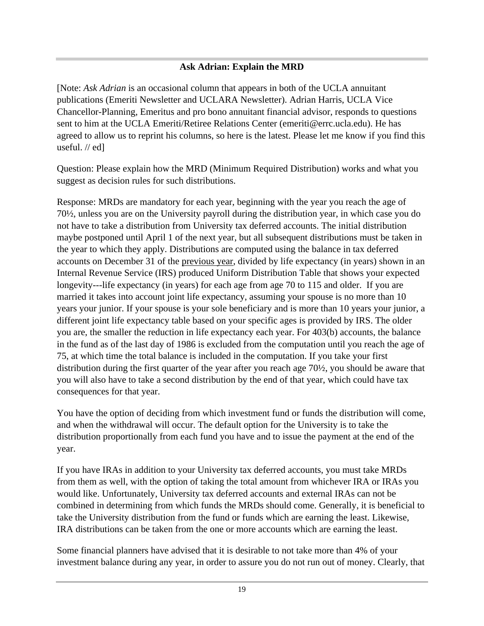#### **Ask Adrian: Explain the MRD**

[Note: *Ask Adrian* is an occasional column that appears in both of the UCLA annuitant publications (Emeriti Newsletter and UCLARA Newsletter). Adrian Harris, UCLA Vice Chancellor-Planning, Emeritus and pro bono annuitant financial advisor, responds to questions sent to him at the UCLA Emeriti/Retiree Relations Center (emeriti@errc.ucla.edu). He has agreed to allow us to reprint his columns, so here is the latest. Please let me know if you find this useful. // ed]

Question: Please explain how the MRD (Minimum Required Distribution) works and what you suggest as decision rules for such distributions.

Response: MRDs are mandatory for each year, beginning with the year you reach the age of 70½, unless you are on the University payroll during the distribution year, in which case you do not have to take a distribution from University tax deferred accounts. The initial distribution maybe postponed until April 1 of the next year, but all subsequent distributions must be taken in the year to which they apply. Distributions are computed using the balance in tax deferred accounts on December 31 of the previous year, divided by life expectancy (in years) shown in an Internal Revenue Service (IRS) produced Uniform Distribution Table that shows your expected longevity---life expectancy (in years) for each age from age 70 to 115 and older. If you are married it takes into account joint life expectancy, assuming your spouse is no more than 10 years your junior. If your spouse is your sole beneficiary and is more than 10 years your junior, a different joint life expectancy table based on your specific ages is provided by IRS. The older you are, the smaller the reduction in life expectancy each year. For 403(b) accounts, the balance in the fund as of the last day of 1986 is excluded from the computation until you reach the age of 75, at which time the total balance is included in the computation. If you take your first distribution during the first quarter of the year after you reach age 70½, you should be aware that you will also have to take a second distribution by the end of that year, which could have tax consequences for that year.

You have the option of deciding from which investment fund or funds the distribution will come, and when the withdrawal will occur. The default option for the University is to take the distribution proportionally from each fund you have and to issue the payment at the end of the year.

If you have IRAs in addition to your University tax deferred accounts, you must take MRDs from them as well, with the option of taking the total amount from whichever IRA or IRAs you would like. Unfortunately, University tax deferred accounts and external IRAs can not be combined in determining from which funds the MRDs should come. Generally, it is beneficial to take the University distribution from the fund or funds which are earning the least. Likewise, IRA distributions can be taken from the one or more accounts which are earning the least.

Some financial planners have advised that it is desirable to not take more than 4% of your investment balance during any year, in order to assure you do not run out of money. Clearly, that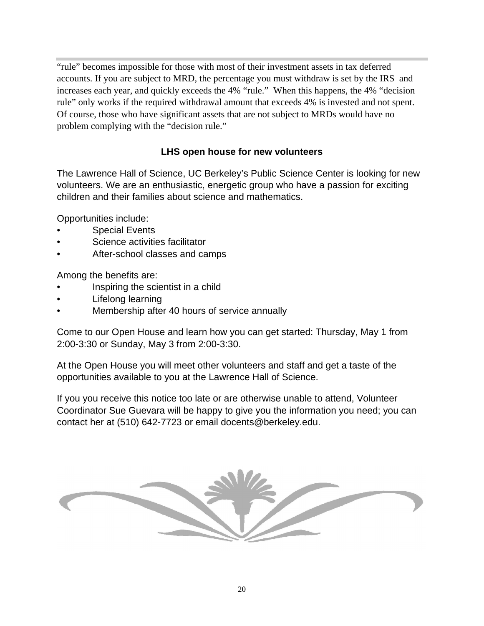"rule" becomes impossible for those with most of their investment assets in tax deferred accounts. If you are subject to MRD, the percentage you must withdraw is set by the IRS and increases each year, and quickly exceeds the 4% "rule." When this happens, the 4% "decision rule" only works if the required withdrawal amount that exceeds 4% is invested and not spent. Of course, those who have significant assets that are not subject to MRDs would have no problem complying with the "decision rule."

### **LHS open house for new volunteers**

The Lawrence Hall of Science, UC Berkeley's Public Science Center is looking for new volunteers. We are an enthusiastic, energetic group who have a passion for exciting children and their families about science and mathematics.

Opportunities include:

- Special Events **but a set of the set of the set of the set of the set of the set of the set of the set of the set of the set of the set of the set of the set of the set of the set of the set of the set of the set of the**
- Science activities facilitator
- After-school classes and camps

Among the benefits are:

- Inspiring the scientist in a child
- Lifelong learning
- Membership after 40 hours of service annually

Come to our Open House and learn how you can get started: Thursday, May 1 from 2:00-3:30 or Sunday, May 3 from 2:00-3:30.

At the Open House you will meet other volunteers and staff and get a taste of the opportunities available to you at the Lawrence Hall of Science.

If you you receive this notice too late or are otherwise unable to attend, Volunteer Coordinator Sue Guevara will be happy to give you the information you need; you can contact her at (510) 642-7723 or email docents@berkeley.edu.

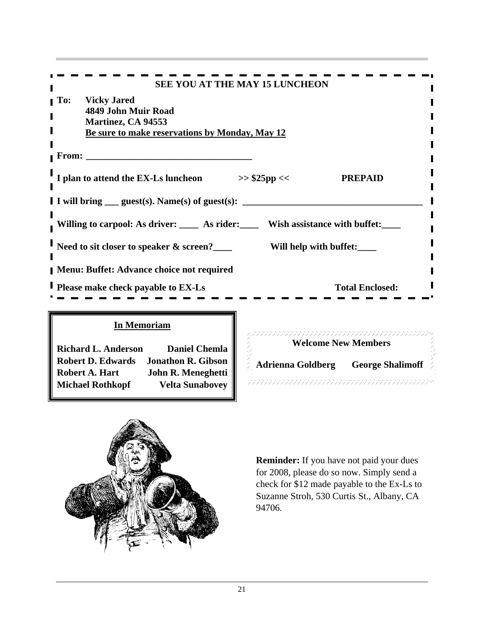|                                                                                               | SEE YOU AT THE MAY 15 LUNCHEON            |  |
|-----------------------------------------------------------------------------------------------|-------------------------------------------|--|
| <b>To:</b> Vicky Jared                                                                        |                                           |  |
| 4849 John Muir Road<br>Martinez, CA 94553                                                     |                                           |  |
| Be sure to make reservations by Monday, May 12                                                |                                           |  |
| <b>From:</b>                                                                                  |                                           |  |
|                                                                                               |                                           |  |
| I plan to attend the EX-Ls luncheon                                                           | <b>PREPAID</b><br>>> \$25pp <<            |  |
| I I will bring <u>equest</u> (s). Name(s) of guest(s):                                        |                                           |  |
| Willing to carpool: As driver: ____ As rider: ____                                            | Wish assistance with buffet:              |  |
|                                                                                               |                                           |  |
| Need to sit closer to speaker & screen?__                                                     | Will help with buffet:                    |  |
| Menu: Buffet: Advance choice not required                                                     |                                           |  |
| <b>Please make check payable to EX-Ls</b>                                                     | <b>Total Enclosed:</b>                    |  |
|                                                                                               |                                           |  |
|                                                                                               |                                           |  |
| <b>In Memoriam</b>                                                                            |                                           |  |
| <b>Richard L. Anderson</b><br>Daniel Chemla                                                   | <b>Welcome New Members</b>                |  |
| <b>Robert D. Edwards</b><br><b>Jonathon R. Gibson</b><br>John R. Meneghetti<br>Robert A. Hart | <b>Adrienna Goldberg George Shalimoff</b> |  |
| <b>Michael Rothkopf</b><br>Velta Sunabovey                                                    |                                           |  |



**Reminder:** If you have not paid your dues for 2008, please do so now. Simply send a check for \$12 made payable to the Ex-Ls to Suzanne Stroh, 530 Curtis St., Albany, CA 94706.